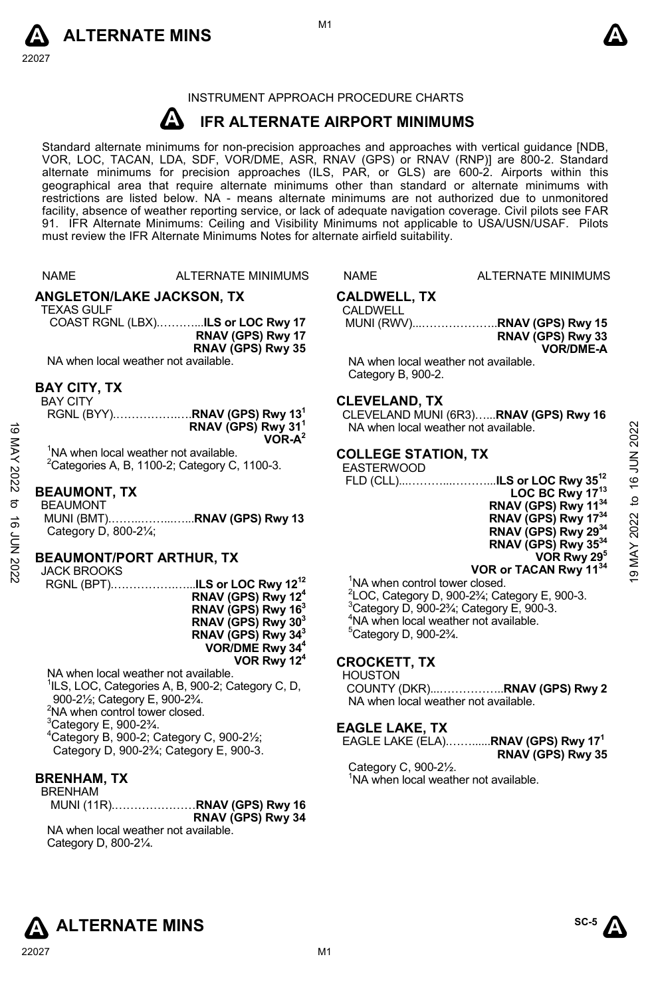



#### INSTRUMENT APPROACH PROCEDURE CHARTS

#### **A IFR ALTERNATE AIRPORT MINIMUMS**

Standard alternate minimums for non-precision approaches and approaches with vertical guidance [NDB,<br>VOR, LOC, TACAN, LDA, SDF, VOR/DME, ASR, RNAV (GPS) or RNAV (RNP)] are 800-2. Standard<br>alternate minimums for precision a geographical area that require alternate minimums other than standard or alternate minimums with restrictions are listed below. NA - means alternate minimums are not authorized due to unmonitored facility, absence of weather reporting service, or lack of adequate navigation coverage. Civil pilots see FAR 91. IFR Alternate Minimums: Ceiling and Visibility Minimums not applicable to USA/USN/USAF. Pilots must review the IFR Alternate Minimums Notes for alternate airfield suitability.

NAME ALTERNATE MINIMUMS NAME ALTERNATE MINIMUMS

**ANGLETON/LAKE JACKSON, TX** 

TEXAS GULF

COAST RGNL (LBX).………...**ILS or LOC Rwy 17 RNAV (GPS) Rwy 17 RNAV (GPS) Rwy 35** 

NA when local weather not available.

#### **BAY CITY, TX**

BAY CITY

|                                                   | RGNL (BYY) <b>RNAV (GPS) Rwy 13<sup>1</sup></b> |
|---------------------------------------------------|-------------------------------------------------|
|                                                   | RNAV (GPS) Rwy 31 <sup>1</sup><br>$VOR-A^2$     |
|                                                   |                                                 |
| <sup>1</sup> NA when local weather not available. |                                                 |

 $2$ Categories A, B, 1100-2; Category C, 1100-3.

# **BEAUMONT, TX**

BEAUMONT MUNI (BMT).……..……...…...**RNAV (GPS) Rwy 13**  Category D, 800-2¼;

# **BEAUMONT/PORT ARTHUR, TX**

JACK BROOKS

RGNL (BPT).…………….…...**ILS or LOC Rwy 1212 RNAV (GPS) Rwy 124 RNAV (GPS) Rwy 163 RNAV (GPS) Rwy 303 RNAV (GPS) Rwy 343 VOR/DME Rwy 344 VOR Rwy 124**

NA when local weather not available. <sup>1</sup>ILS, LOC, Categories A, B, 900-2; Category C, D, 900-2½; Category E, 900-2¾. <sup>2</sup>NA when control tower closed.  ${}^{3}$ Category E, 900-2 $\frac{3}{4}$ . 4 Category B, 900-2; Category C, 900-2½; Category D, 900-2¾; Category E, 900-3.

# **BRENHAM, TX**

BRENHAM

MUNI (11R).…………………**RNAV (GPS) Rwy 16 RNAV (GPS) Rwy 34**  NA when local weather not available.

Category D, 800-2¼.

#### **CALDWELL, TX**  CALDWELL

MUNI (RWV)...………………..**RNAV (GPS) Rwy 15 RNAV (GPS) Rwy 33 VOR/DME-A** 

NA when local weather not available. Category B, 900-2.

#### **CLEVELAND, TX**

CLEVELAND MUNI (6R3)…...**RNAV (GPS) Rwy 16** NA when local weather not available.

#### **COLLEGE STATION, TX**

#### EASTERWOOD

 FLD (CLL)...………...………...**ILS or LOC Rwy 3512 LOC BC Rwy 1713 RNAV (GPS) Rwy 1134 RNAV (GPS) Rwy 1734 RNAV (GPS) Rwy 2934 RNAV (GPS) Rwy 3534 VOR Rwy 295 VOR or TACAN Rwy 1134**  $\frac{1}{2}$ <br>  $\frac{1}{2}$ <br>  $\frac{1}{2}$ <br>  $\frac{1}{2}$ <br>  $\frac{1}{2}$ <br>  $\frac{1}{2}$ <br>  $\frac{1}{2}$ <br>  $\frac{1}{2}$ <br>
BEAUMONT, TX<br>  $\frac{1}{2}$ <br>  $\frac{1}{2}$ <br>  $\frac{1}{2}$ <br>  $\frac{1}{2}$ <br>  $\frac{1}{2}$ <br>  $\frac{1}{2}$ <br>
BEAUMONT/PORT ARTHUR, TX<br>  $\frac{1}{2}$ <br>  $\frac{1}{2}$ <br>  $\frac{$ 

<sup>1</sup>NA when control tower closed.  $^{2}$ LOC, Category D, 900-2<sup>3</sup>⁄<sub>i</sub>; Category E, 900-3.  $3$ Category D, 900-2 $3/4$ ; Category E, 900-3. 4 NA when local weather not available. 5 Category D, 900-2¾.

#### **CROCKETT, TX**

HOUSTON

COUNTY (DKR)...……………..**RNAV (GPS) Rwy 2**  NA when local weather not available.

#### **EAGLE LAKE, TX**

EAGLE LAKE (ELA).……......**RNAV (GPS) Rwy 171 RNAV (GPS) Rwy 35** 

Category C, 900-2½. <sup>1</sup>NA when local weather not available.



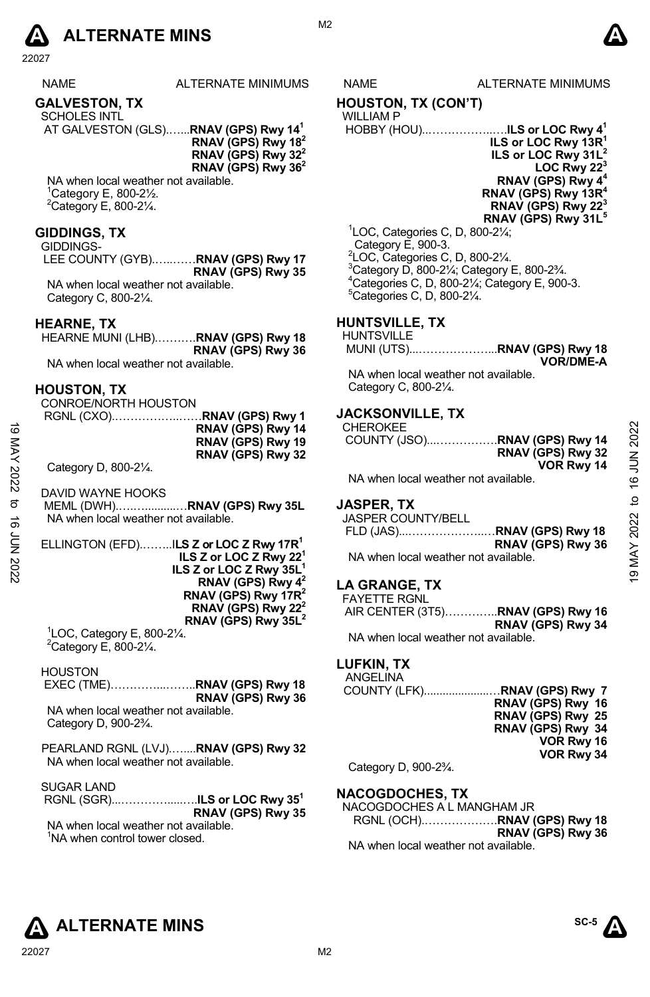

22027

| <b>NAME</b>  | ALTERNATE MINIMUM |
|--------------|-------------------|
| CALUESTON TV |                   |

#### **GALVESTON, TX**

SCHOLES INTL AT GALVESTON (GLS).…...**RNAV (GPS) Rwy 141**

**RNAV (GPS) Rwy 182 RNAV (GPS) Rwy 322 RNAV (GPS) Rwy 362** 

NA when local weather not available. 1 Category E, 800-2½.  $2$ Category E, 800-2 $\frac{1}{4}$ .

#### **GIDDINGS, TX**

GIDDINGS-

LEE COUNTY (GYB).…..……**RNAV (GPS) Rwy 17 RNAV (GPS) Rwy 35**  NA when local weather not available. Category C, 800-2¼.

#### **HEARNE, TX**

HEARNE MUNI (LHB).……….**RNAV (GPS) Rwy 18 RNAV (GPS) Rwy 36** 

NA when local weather not available.

#### **HOUSTON, TX**

CONROE/NORTH HOUSTON RGNL (CXO).……………..……**RNAV (GPS) Rwy 1** 

ELLINGTON (EFD).……..I**LS Z or LOC Z Rwy 17R1 ILS Z or LOC Z Rwy 221 ILS Z or LOC Z Rwy 35L1 RNAV (GPS) Rwy 42 RNAV (GPS) Rwy 17R2 RNAV (GPS) Rwy 222 RNAV (GPS) Rwy 35L<sup>2</sup>**<br><sup>1</sup> OC Cotogory E 800 21/

 ${}^{1}$ LOC, Category E, 800-2 $\frac{1}{4}$ .  $^{2}$ Category E, 800-2¼.

**HOUSTON**  EXEC (TME)…………...……..**RNAV (GPS) Rwy 18 RNAV (GPS) Rwy 36**  NA when local weather not available. Category D, 900-2¾.

PEARLAND RGNL (LVJ).…....**RNAV (GPS) Rwy 32**  NA when local weather not available.

SUGAR LAND

 RGNL (SGR)...………….....….**ILS or LOC Rwy 351 RNAV (GPS) Rwy 35**  NA when local weather not available. <sup>1</sup>NA when control tower closed.

## S NAME ALTERNATE MINIMUMS

### **HOUSTON, TX (CON'T)**

WILLIAM P

 HOBBY (HOU)..……………..….**ILS or LOC Rwy 41 ILS or LOC Rwy 13R1 ILS or LOC Rwy 31L2 LOC Rwy 22<sup>3</sup> RNAV (GPS) Rwy 4<sup>4</sup> RNAV (GPS) Rwy 13R4 RNAV (GPS) Rwy 22<sup>3</sup> RNAV (GPS) Rwy 31L5**  1 LOC, Categories C, D, 800-2¼;

 Category E, 900-3. LOC, Categories C, D, 800-2¼. Category D, 800-2 $\frac{1}{4}$ ; Category E, 800-2 $\frac{3}{4}$ . Categories C, D, 800-2¼; Category E, 900-3. Categories C, D, 800-2¼.

# **HUNTSVILLE, TX**

## **HUNTSVILLE**

MUNI (UTS)...………………...**RNAV (GPS) Rwy 18 VOR/DME-A** 

NA when local weather not available. Category C, 800-2¼.

#### **JACKSONVILLE, TX**

| ಹ      | RNAV (GPS) Rwy 14<br>RNAV (GPS) Rwy 19                | <b>CHEROKEE</b><br>COUNTY (JSO)RNAV (GPS) Rwy 14 | JUN 2022 |
|--------|-------------------------------------------------------|--------------------------------------------------|----------|
|        | RNAV (GPS) Rwy 32                                     | RNAV (GPS) Rwy 32                                |          |
|        | Category D, 800-21/4.                                 | VOR Rwy 14                                       |          |
| 2022   |                                                       | NA when local weather not available.             | c        |
|        | DAVID WAYNE HOOKS                                     |                                                  |          |
| ಕ      | MEML (DWH)RNAV (GPS) Rwy 35L                          | <b>JASPER, TX</b>                                | 9        |
| ಕ      | NA when local weather not available.                  | <b>JASPER COUNTY/BELL</b>                        | 2022     |
|        |                                                       | .RNAV (GPS) Rwy 18<br>FLD (JAS)                  |          |
| ξ<br>Σ | ELLINGTON (EFD)ILS Z or LOC Z Rwy 17R <sup>1</sup>    | RNAV (GPS) Rwy 36                                | ≻        |
|        | ILS Z or LOC Z Rwy $221$                              | NA when local weather not available.             |          |
|        | ILS Z or LOC Z Rwy 35L                                |                                                  | ග        |
|        | <b>DNAV (CDC)</b> $\sum_{n=1}^{\infty} \frac{1}{n^2}$ | 1.0011100                                        |          |

#### **JASPER, TX**

| JASPER COUNTY/BELL                   |                   |
|--------------------------------------|-------------------|
|                                      |                   |
|                                      | RNAV (GPS) Rwy 36 |
| NA when local weather not available. |                   |

# **LA GRANGE, TX**

| <b>FAYETTE RGNL</b>                       |                   |
|-------------------------------------------|-------------------|
| AIR CENTER (3T5) <b>RNAV (GPS) Rwy 16</b> |                   |
|                                           | RNAV (GPS) Rwy 34 |
| NA when local weather not available.      |                   |

# **LUFKIN, TX**

| ANGELINA     |                   |
|--------------|-------------------|
|              |                   |
|              | RNAV (GPS) Rwy 16 |
|              | RNAV (GPS) Rwy 25 |
|              | RNAV (GPS) Rwy 34 |
|              | VOR Rwy 16        |
|              | VOR Rwy 34        |
| $C_{\alpha}$ |                   |

Category D, 900-2¾.

#### **NACOGDOCHES, TX**

NACOGDOCHES A L MANGHAM JR RGNL (OCH).……………….**RNAV (GPS) Rwy 18 RNAV (GPS) Rwy 36**  NA when local weather not available.